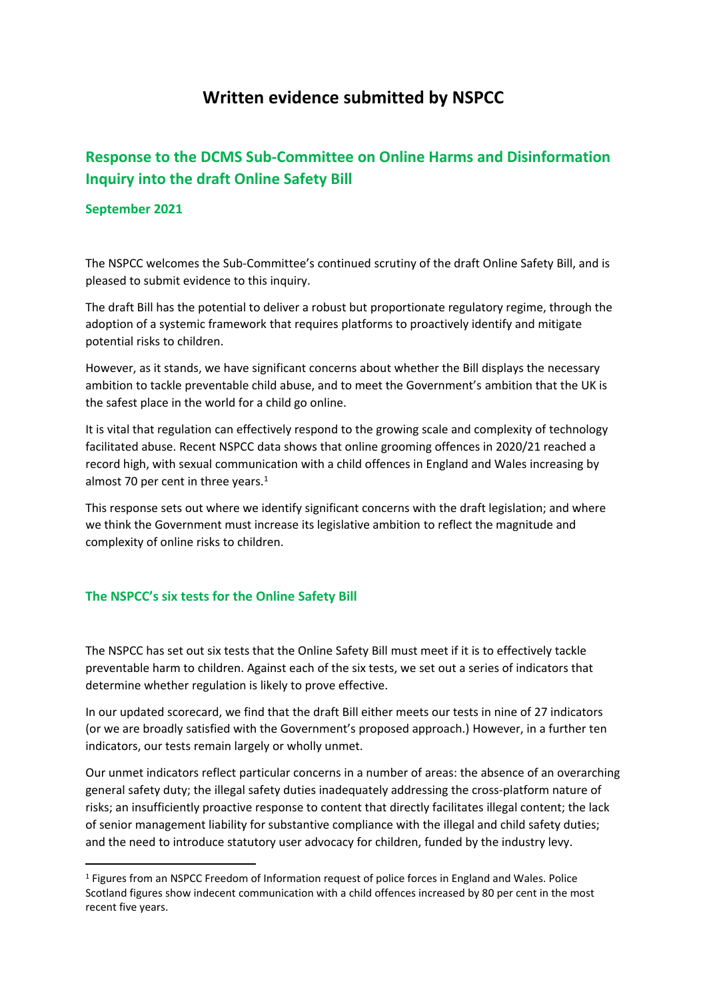# **Written evidence submitted by NSPCC**

## **Response to the DCMS Sub-Committee on Online Harms and Disinformation Inquiry into the draft Online Safety Bill**

#### **September 2021**

The NSPCC welcomes the Sub-Committee's continued scrutiny of the draft Online Safety Bill, and is pleased to submit evidence to this inquiry.

The draft Bill has the potential to deliver a robust but proportionate regulatory regime, through the adoption of a systemic framework that requires platforms to proactively identify and mitigate potential risks to children.

However, as it stands, we have significant concerns about whether the Bill displays the necessary ambition to tackle preventable child abuse, and to meet the Government's ambition that the UK is the safest place in the world for a child go online.

It is vital that regulation can effectively respond to the growing scale and complexity of technology facilitated abuse. Recent NSPCC data shows that online grooming offences in 2020/21 reached a record high, with sexual communication with a child offences in England and Wales increasing by almost 70 per cent in three years.<sup>1</sup>

This response sets out where we identify significant concerns with the draft legislation; and where we think the Government must increase its legislative ambition to reflect the magnitude and complexity of online risks to children.

## **The NSPCC's six tests for the Online Safety Bill**

The NSPCC has set out six tests that the Online Safety Bill must meet if it is to effectively tackle preventable harm to children. Against each of the six tests, we set out a series of indicators that determine whether regulation is likely to prove effective.

In our updated scorecard, we find that the draft Bill either meets our tests in nine of 27 indicators (or we are broadly satisfied with the Government's proposed approach.) However, in a further ten indicators, our tests remain largely or wholly unmet.

Our unmet indicators reflect particular concerns in a number of areas: the absence of an overarching general safety duty; the illegal safety duties inadequately addressing the cross-platform nature of risks; an insufficiently proactive response to content that directly facilitates illegal content; the lack of senior management liability for substantive compliance with the illegal and child safety duties; and the need to introduce statutory user advocacy for children, funded by the industry levy.

<sup>1</sup> Figures from an NSPCC Freedom of Information request of police forces in England and Wales. Police Scotland figures show indecent communication with a child offences increased by 80 per cent in the most recent five years.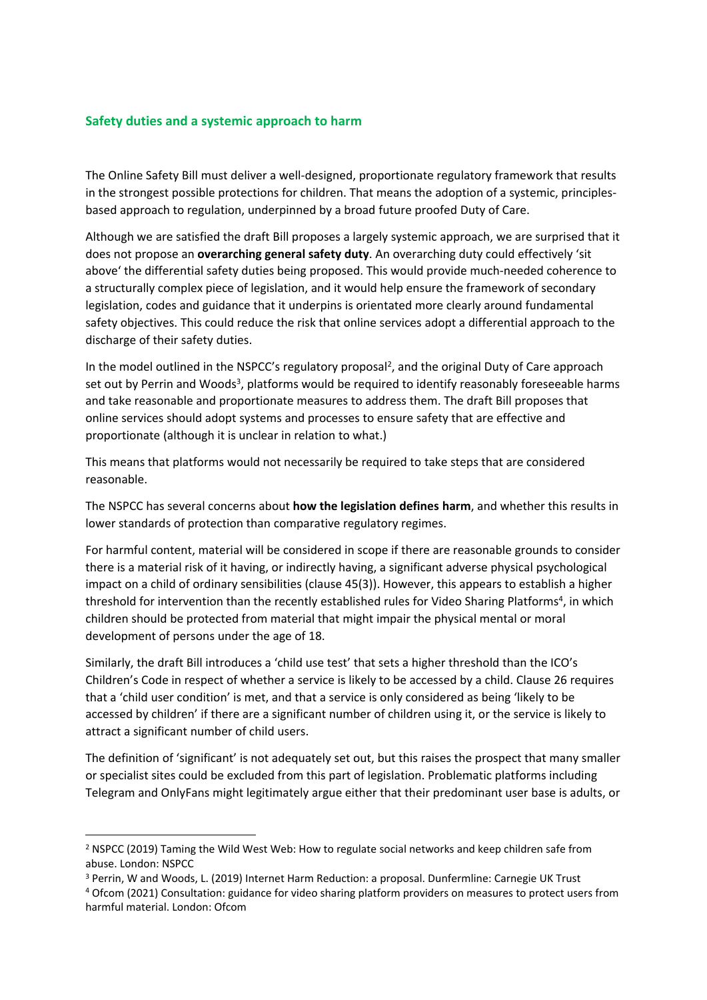#### **Safety duties and a systemic approach to harm**

The Online Safety Bill must deliver a well-designed, proportionate regulatory framework that results in the strongest possible protections for children. That means the adoption of a systemic, principlesbased approach to regulation, underpinned by a broad future proofed Duty of Care.

Although we are satisfied the draft Bill proposes a largely systemic approach, we are surprised that it does not propose an **overarching general safety duty**. An overarching duty could effectively 'sit above' the differential safety duties being proposed. This would provide much-needed coherence to a structurally complex piece of legislation, and it would help ensure the framework of secondary legislation, codes and guidance that it underpins is orientated more clearly around fundamental safety objectives. This could reduce the risk that online services adopt a differential approach to the discharge of their safety duties.

In the model outlined in the NSPCC's regulatory proposal<sup>2</sup>, and the original Duty of Care approach set out by Perrin and Woods<sup>3</sup>, platforms would be required to identify reasonably foreseeable harms and take reasonable and proportionate measures to address them. The draft Bill proposes that online services should adopt systems and processes to ensure safety that are effective and proportionate (although it is unclear in relation to what.)

This means that platforms would not necessarily be required to take steps that are considered reasonable.

The NSPCC has several concerns about **how the legislation defines harm**, and whether this results in lower standards of protection than comparative regulatory regimes.

For harmful content, material will be considered in scope if there are reasonable grounds to consider there is a material risk of it having, or indirectly having, a significant adverse physical psychological impact on a child of ordinary sensibilities (clause 45(3)). However, this appears to establish a higher threshold for intervention than the recently established rules for Video Sharing Platforms<sup>4</sup>, in which children should be protected from material that might impair the physical mental or moral development of persons under the age of 18.

Similarly, the draft Bill introduces a 'child use test' that sets a higher threshold than the ICO's Children's Code in respect of whether a service is likely to be accessed by a child. Clause 26 requires that a 'child user condition' is met, and that a service is only considered as being 'likely to be accessed by children' if there are a significant number of children using it, or the service is likely to attract a significant number of child users.

The definition of 'significant' is not adequately set out, but this raises the prospect that many smaller or specialist sites could be excluded from this part of legislation. Problematic platforms including Telegram and OnlyFans might legitimately argue either that their predominant user base is adults, or

<sup>2</sup> NSPCC (2019) Taming the Wild West Web: How to regulate social networks and keep children safe from abuse. London: NSPCC

<sup>3</sup> Perrin, W and Woods, L. (2019) Internet Harm Reduction: a proposal. Dunfermline: Carnegie UK Trust

<sup>4</sup> Ofcom (2021) Consultation: guidance for video sharing platform providers on measures to protect users from harmful material. London: Ofcom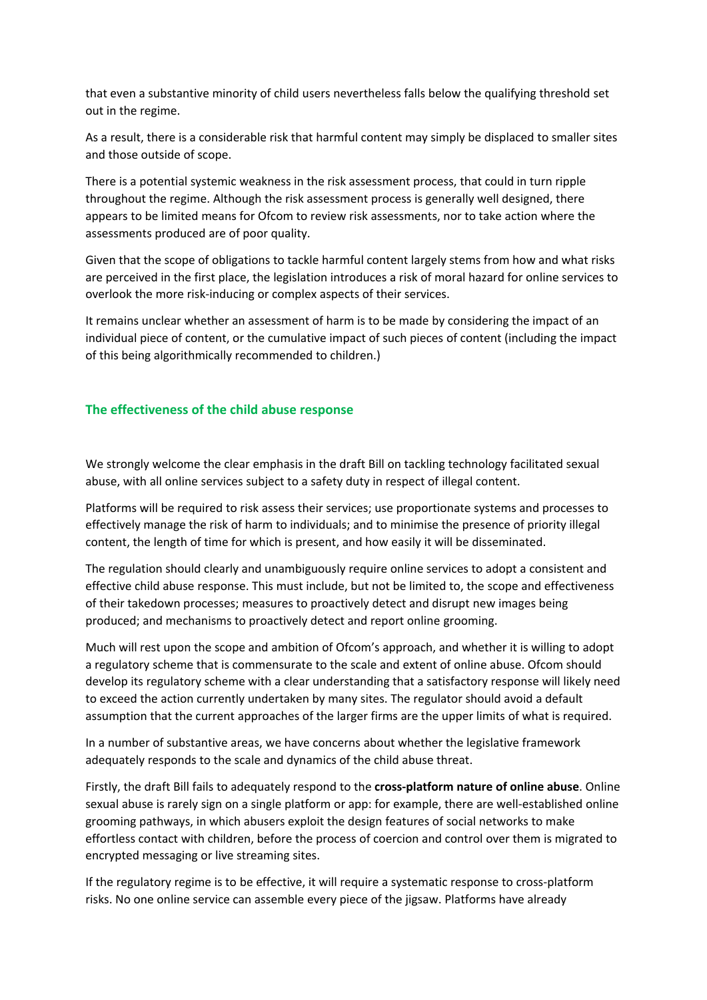that even a substantive minority of child users nevertheless falls below the qualifying threshold set out in the regime.

As a result, there is a considerable risk that harmful content may simply be displaced to smaller sites and those outside of scope.

There is a potential systemic weakness in the risk assessment process, that could in turn ripple throughout the regime. Although the risk assessment process is generally well designed, there appears to be limited means for Ofcom to review risk assessments, nor to take action where the assessments produced are of poor quality.

Given that the scope of obligations to tackle harmful content largely stems from how and what risks are perceived in the first place, the legislation introduces a risk of moral hazard for online services to overlook the more risk-inducing or complex aspects of their services.

It remains unclear whether an assessment of harm is to be made by considering the impact of an individual piece of content, or the cumulative impact of such pieces of content (including the impact of this being algorithmically recommended to children.)

#### **The effectiveness of the child abuse response**

We strongly welcome the clear emphasis in the draft Bill on tackling technology facilitated sexual abuse, with all online services subject to a safety duty in respect of illegal content.

Platforms will be required to risk assess their services; use proportionate systems and processes to effectively manage the risk of harm to individuals; and to minimise the presence of priority illegal content, the length of time for which is present, and how easily it will be disseminated.

The regulation should clearly and unambiguously require online services to adopt a consistent and effective child abuse response. This must include, but not be limited to, the scope and effectiveness of their takedown processes; measures to proactively detect and disrupt new images being produced; and mechanisms to proactively detect and report online grooming.

Much will rest upon the scope and ambition of Ofcom's approach, and whether it is willing to adopt a regulatory scheme that is commensurate to the scale and extent of online abuse. Ofcom should develop its regulatory scheme with a clear understanding that a satisfactory response will likely need to exceed the action currently undertaken by many sites. The regulator should avoid a default assumption that the current approaches of the larger firms are the upper limits of what is required.

In a number of substantive areas, we have concerns about whether the legislative framework adequately responds to the scale and dynamics of the child abuse threat.

Firstly, the draft Bill fails to adequately respond to the **cross-platform nature of online abuse**. Online sexual abuse is rarely sign on a single platform or app: for example, there are well-established online grooming pathways, in which abusers exploit the design features of social networks to make effortless contact with children, before the process of coercion and control over them is migrated to encrypted messaging or live streaming sites.

If the regulatory regime is to be effective, it will require a systematic response to cross-platform risks. No one online service can assemble every piece of the jigsaw. Platforms have already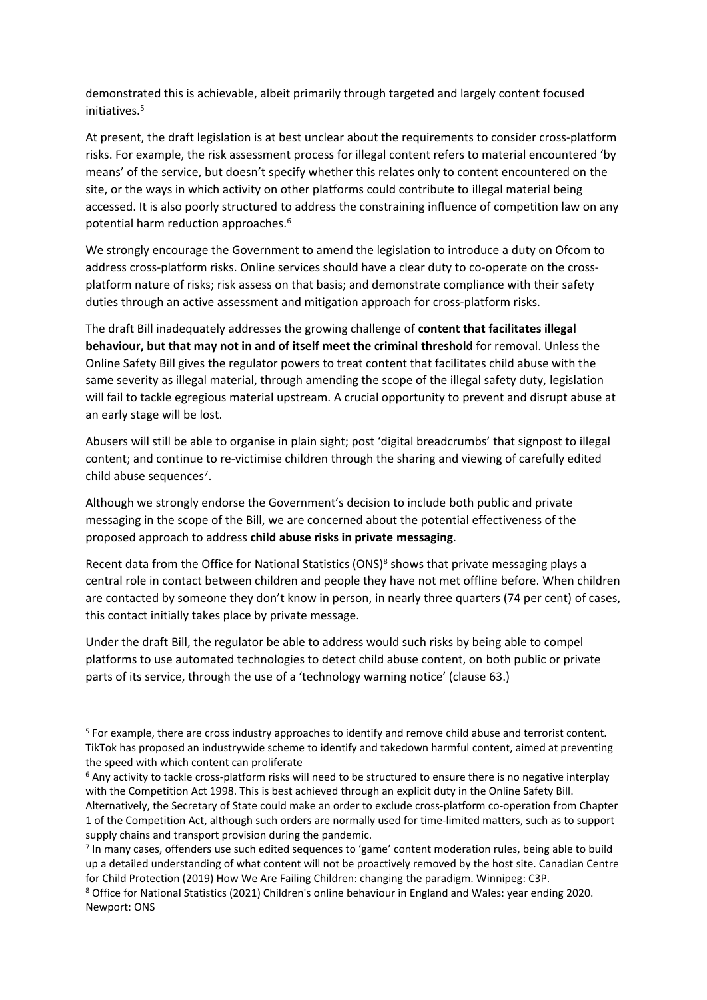demonstrated this is achievable, albeit primarily through targeted and largely content focused initiatives.<sup>5</sup>

At present, the draft legislation is at best unclear about the requirements to consider cross-platform risks. For example, the risk assessment process for illegal content refers to material encountered 'by means' of the service, but doesn't specify whether this relates only to content encountered on the site, or the ways in which activity on other platforms could contribute to illegal material being accessed. It is also poorly structured to address the constraining influence of competition law on any potential harm reduction approaches.<sup>6</sup>

We strongly encourage the Government to amend the legislation to introduce a duty on Ofcom to address cross-platform risks. Online services should have a clear duty to co-operate on the crossplatform nature of risks; risk assess on that basis; and demonstrate compliance with their safety duties through an active assessment and mitigation approach for cross-platform risks.

The draft Bill inadequately addresses the growing challenge of **content that facilitates illegal behaviour, but that may not in and of itself meet the criminal threshold** for removal. Unless the Online Safety Bill gives the regulator powers to treat content that facilitates child abuse with the same severity as illegal material, through amending the scope of the illegal safety duty, legislation will fail to tackle egregious material upstream. A crucial opportunity to prevent and disrupt abuse at an early stage will be lost.

Abusers will still be able to organise in plain sight; post 'digital breadcrumbs' that signpost to illegal content; and continue to re-victimise children through the sharing and viewing of carefully edited child abuse sequences<sup>7</sup>.

Although we strongly endorse the Government's decision to include both public and private messaging in the scope of the Bill, we are concerned about the potential effectiveness of the proposed approach to address **child abuse risks in private messaging**.

Recent data from the Office for National Statistics (ONS)<sup>8</sup> shows that private messaging plays a central role in contact between children and people they have not met offline before. When children are contacted by someone they don't know in person, in nearly three quarters (74 per cent) of cases, this contact initially takes place by private message.

Under the draft Bill, the regulator be able to address would such risks by being able to compel platforms to use automated technologies to detect child abuse content, on both public or private parts of its service, through the use of a 'technology warning notice' (clause 63.)

<sup>5</sup> For example, there are cross industry approaches to identify and remove child abuse and terrorist content. TikTok has proposed an industrywide scheme to identify and takedown harmful content, aimed at preventing the speed with which content can proliferate

<sup>6</sup> Any activity to tackle cross-platform risks will need to be structured to ensure there is no negative interplay with the Competition Act 1998. This is best achieved through an explicit duty in the Online Safety Bill. Alternatively, the Secretary of State could make an order to exclude cross-platform co-operation from Chapter 1 of the Competition Act, although such orders are normally used for time-limited matters, such as to support supply chains and transport provision during the pandemic.

<sup>7</sup> In many cases, offenders use such edited sequences to 'game' content moderation rules, being able to build up a detailed understanding of what content will not be proactively removed by the host site. Canadian Centre for Child Protection (2019) How We Are Failing Children: changing the paradigm. Winnipeg: C3P.

<sup>8</sup> Office for National Statistics (2021) Children's online behaviour in England and Wales: year ending 2020. Newport: ONS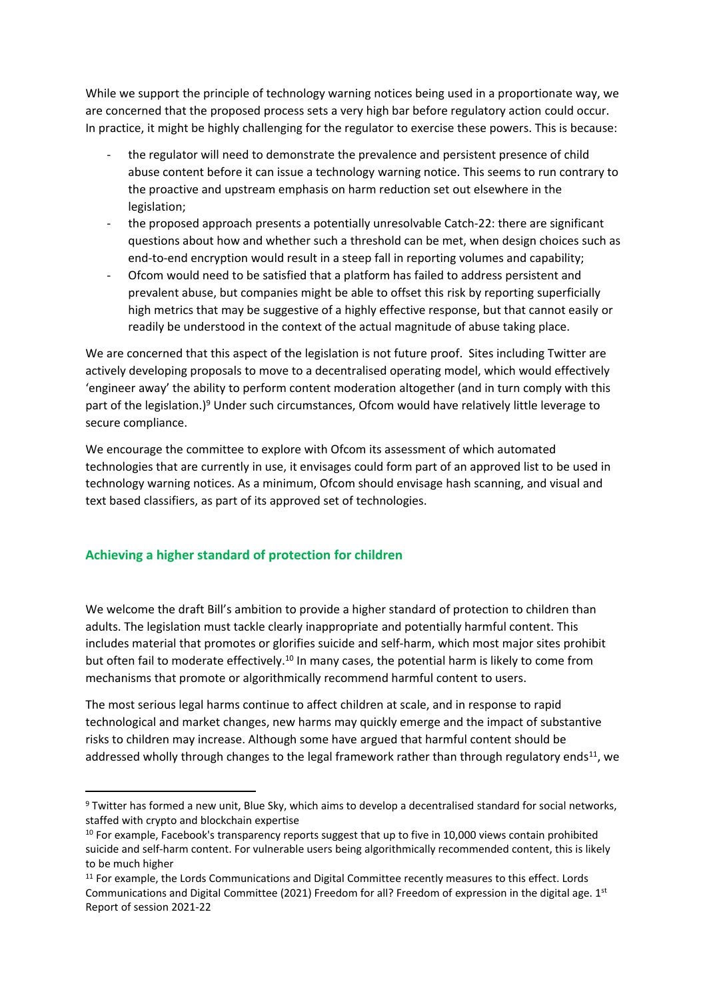While we support the principle of technology warning notices being used in a proportionate way, we are concerned that the proposed process sets a very high bar before regulatory action could occur. In practice, it might be highly challenging for the regulator to exercise these powers. This is because:

- the regulator will need to demonstrate the prevalence and persistent presence of child abuse content before it can issue a technology warning notice. This seems to run contrary to the proactive and upstream emphasis on harm reduction set out elsewhere in the legislation;
- the proposed approach presents a potentially unresolvable Catch-22: there are significant questions about how and whether such a threshold can be met, when design choices such as end-to-end encryption would result in a steep fall in reporting volumes and capability;
- Ofcom would need to be satisfied that a platform has failed to address persistent and prevalent abuse, but companies might be able to offset this risk by reporting superficially high metrics that may be suggestive of a highly effective response, but that cannot easily or readily be understood in the context of the actual magnitude of abuse taking place.

We are concerned that this aspect of the legislation is not future proof. Sites including Twitter are actively developing proposals to move to a decentralised operating model, which would effectively 'engineer away' the ability to perform content moderation altogether (and in turn comply with this part of the legislation.)<sup>9</sup> Under such circumstances, Ofcom would have relatively little leverage to secure compliance.

We encourage the committee to explore with Ofcom its assessment of which automated technologies that are currently in use, it envisages could form part of an approved list to be used in technology warning notices. As a minimum, Ofcom should envisage hash scanning, and visual and text based classifiers, as part of its approved set of technologies.

### **Achieving a higher standard of protection for children**

We welcome the draft Bill's ambition to provide a higher standard of protection to children than adults. The legislation must tackle clearly inappropriate and potentially harmful content. This includes material that promotes or glorifies suicide and self-harm, which most major sites prohibit but often fail to moderate effectively.<sup>10</sup> In many cases, the potential harm is likely to come from mechanisms that promote or algorithmically recommend harmful content to users.

The most serious legal harms continue to affect children at scale, and in response to rapid technological and market changes, new harms may quickly emerge and the impact of substantive risks to children may increase. Although some have argued that harmful content should be addressed wholly through changes to the legal framework rather than through regulatory ends<sup>11</sup>, we

<sup>9</sup> Twitter has formed a new unit, Blue Sky, which aims to develop a decentralised standard for social networks, staffed with crypto and blockchain expertise

<sup>&</sup>lt;sup>10</sup> For example, Facebook's transparency reports suggest that up to five in 10,000 views contain prohibited suicide and self-harm content. For vulnerable users being algorithmically recommended content, this is likely to be much higher

<sup>&</sup>lt;sup>11</sup> For example, the Lords Communications and Digital Committee recently measures to this effect. Lords Communications and Digital Committee (2021) Freedom for all? Freedom of expression in the digital age. 1<sup>st</sup> Report of session 2021-22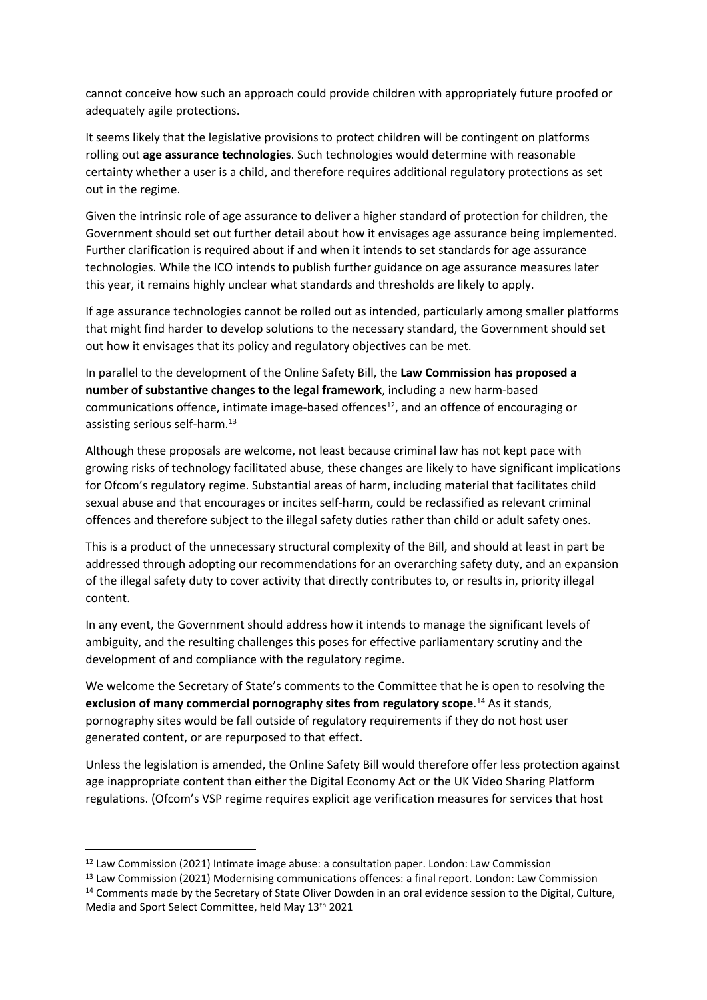cannot conceive how such an approach could provide children with appropriately future proofed or adequately agile protections.

It seems likely that the legislative provisions to protect children will be contingent on platforms rolling out **age assurance technologies**. Such technologies would determine with reasonable certainty whether a user is a child, and therefore requires additional regulatory protections as set out in the regime.

Given the intrinsic role of age assurance to deliver a higher standard of protection for children, the Government should set out further detail about how it envisages age assurance being implemented. Further clarification is required about if and when it intends to set standards for age assurance technologies. While the ICO intends to publish further guidance on age assurance measures later this year, it remains highly unclear what standards and thresholds are likely to apply.

If age assurance technologies cannot be rolled out as intended, particularly among smaller platforms that might find harder to develop solutions to the necessary standard, the Government should set out how it envisages that its policy and regulatory objectives can be met.

In parallel to the development of the Online Safety Bill, the **Law Commission has proposed a number of substantive changes to the legal framework**, including a new harm-based communications offence, intimate image-based offences<sup>12</sup>, and an offence of encouraging or assisting serious self-harm.<sup>13</sup>

Although these proposals are welcome, not least because criminal law has not kept pace with growing risks of technology facilitated abuse, these changes are likely to have significant implications for Ofcom's regulatory regime. Substantial areas of harm, including material that facilitates child sexual abuse and that encourages or incites self-harm, could be reclassified as relevant criminal offences and therefore subject to the illegal safety duties rather than child or adult safety ones.

This is a product of the unnecessary structural complexity of the Bill, and should at least in part be addressed through adopting our recommendations for an overarching safety duty, and an expansion of the illegal safety duty to cover activity that directly contributes to, or results in, priority illegal content.

In any event, the Government should address how it intends to manage the significant levels of ambiguity, and the resulting challenges this poses for effective parliamentary scrutiny and the development of and compliance with the regulatory regime.

We welcome the Secretary of State's comments to the Committee that he is open to resolving the **exclusion of many commercial pornography sites from regulatory scope**. <sup>14</sup> As it stands, pornography sites would be fall outside of regulatory requirements if they do not host user generated content, or are repurposed to that effect.

Unless the legislation is amended, the Online Safety Bill would therefore offer less protection against age inappropriate content than either the Digital Economy Act or the UK Video Sharing Platform regulations. (Ofcom's VSP regime requires explicit age verification measures for services that host

<sup>12</sup> Law Commission (2021) Intimate image abuse: a consultation paper. London: Law Commission

<sup>&</sup>lt;sup>13</sup> Law Commission (2021) Modernising communications offences: a final report. London: Law Commission

<sup>14</sup> Comments made by the Secretary of State Oliver Dowden in an oral evidence session to the Digital, Culture, Media and Sport Select Committee, held May 13th 2021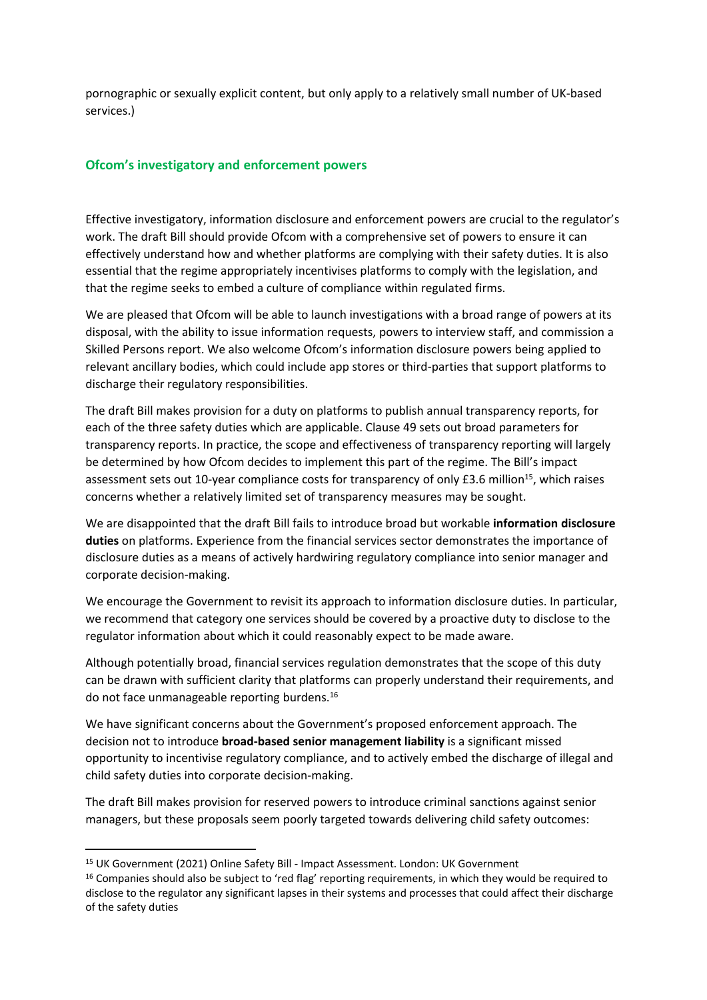pornographic or sexually explicit content, but only apply to a relatively small number of UK-based services.)

#### **Ofcom's investigatory and enforcement powers**

Effective investigatory, information disclosure and enforcement powers are crucial to the regulator's work. The draft Bill should provide Ofcom with a comprehensive set of powers to ensure it can effectively understand how and whether platforms are complying with their safety duties. It is also essential that the regime appropriately incentivises platforms to comply with the legislation, and that the regime seeks to embed a culture of compliance within regulated firms.

We are pleased that Ofcom will be able to launch investigations with a broad range of powers at its disposal, with the ability to issue information requests, powers to interview staff, and commission a Skilled Persons report. We also welcome Ofcom's information disclosure powers being applied to relevant ancillary bodies, which could include app stores or third-parties that support platforms to discharge their regulatory responsibilities.

The draft Bill makes provision for a duty on platforms to publish annual transparency reports, for each of the three safety duties which are applicable. Clause 49 sets out broad parameters for transparency reports. In practice, the scope and effectiveness of transparency reporting will largely be determined by how Ofcom decides to implement this part of the regime. The Bill's impact assessment sets out 10-year compliance costs for transparency of only £3.6 million<sup>15</sup>, which raises concerns whether a relatively limited set of transparency measures may be sought.

We are disappointed that the draft Bill fails to introduce broad but workable **information disclosure duties** on platforms. Experience from the financial services sector demonstrates the importance of disclosure duties as a means of actively hardwiring regulatory compliance into senior manager and corporate decision-making.

We encourage the Government to revisit its approach to information disclosure duties. In particular, we recommend that category one services should be covered by a proactive duty to disclose to the regulator information about which it could reasonably expect to be made aware.

Although potentially broad, financial services regulation demonstrates that the scope of this duty can be drawn with sufficient clarity that platforms can properly understand their requirements, and do not face unmanageable reporting burdens.<sup>16</sup>

We have significant concerns about the Government's proposed enforcement approach. The decision not to introduce **broad-based senior management liability** is a significant missed opportunity to incentivise regulatory compliance, and to actively embed the discharge of illegal and child safety duties into corporate decision-making.

The draft Bill makes provision for reserved powers to introduce criminal sanctions against senior managers, but these proposals seem poorly targeted towards delivering child safety outcomes:

<sup>15</sup> UK Government (2021) Online Safety Bill - Impact Assessment. London: UK Government

<sup>&</sup>lt;sup>16</sup> Companies should also be subject to 'red flag' reporting requirements, in which they would be required to disclose to the regulator any significant lapses in their systems and processes that could affect their discharge of the safety duties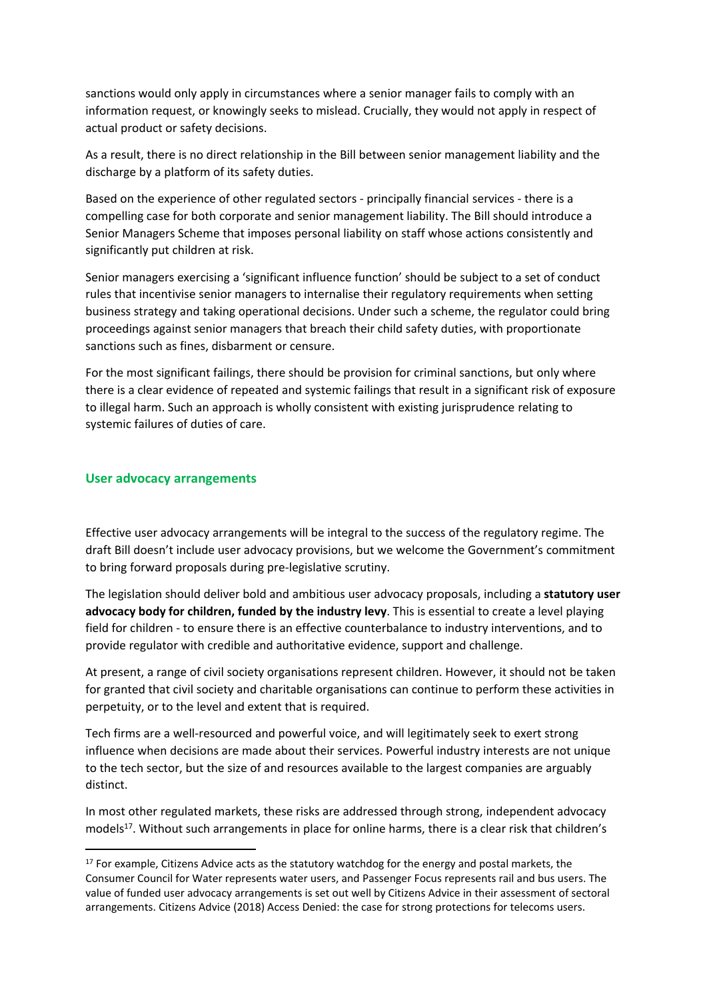sanctions would only apply in circumstances where a senior manager fails to comply with an information request, or knowingly seeks to mislead. Crucially, they would not apply in respect of actual product or safety decisions.

As a result, there is no direct relationship in the Bill between senior management liability and the discharge by a platform of its safety duties.

Based on the experience of other regulated sectors - principally financial services - there is a compelling case for both corporate and senior management liability. The Bill should introduce a Senior Managers Scheme that imposes personal liability on staff whose actions consistently and significantly put children at risk.

Senior managers exercising a 'significant influence function' should be subject to a set of conduct rules that incentivise senior managers to internalise their regulatory requirements when setting business strategy and taking operational decisions. Under such a scheme, the regulator could bring proceedings against senior managers that breach their child safety duties, with proportionate sanctions such as fines, disbarment or censure.

For the most significant failings, there should be provision for criminal sanctions, but only where there is a clear evidence of repeated and systemic failings that result in a significant risk of exposure to illegal harm. Such an approach is wholly consistent with existing jurisprudence relating to systemic failures of duties of care.

#### **User advocacy arrangements**

Effective user advocacy arrangements will be integral to the success of the regulatory regime. The draft Bill doesn't include user advocacy provisions, but we welcome the Government's commitment to bring forward proposals during pre-legislative scrutiny.

The legislation should deliver bold and ambitious user advocacy proposals, including a **statutory user advocacy body for children, funded by the industry levy**. This is essential to create a level playing field for children - to ensure there is an effective counterbalance to industry interventions, and to provide regulator with credible and authoritative evidence, support and challenge.

At present, a range of civil society organisations represent children. However, it should not be taken for granted that civil society and charitable organisations can continue to perform these activities in perpetuity, or to the level and extent that is required.

Tech firms are a well-resourced and powerful voice, and will legitimately seek to exert strong influence when decisions are made about their services. Powerful industry interests are not unique to the tech sector, but the size of and resources available to the largest companies are arguably distinct.

In most other regulated markets, these risks are addressed through strong, independent advocacy models<sup>17</sup>. Without such arrangements in place for online harms, there is a clear risk that children's

<sup>&</sup>lt;sup>17</sup> For example, Citizens Advice acts as the statutory watchdog for the energy and postal markets, the Consumer Council for Water represents water users, and Passenger Focus represents rail and bus users. The value of funded user advocacy arrangements is set out well by Citizens Advice in their assessment of sectoral arrangements. Citizens Advice (2018) Access Denied: the case for strong protections for telecoms users.